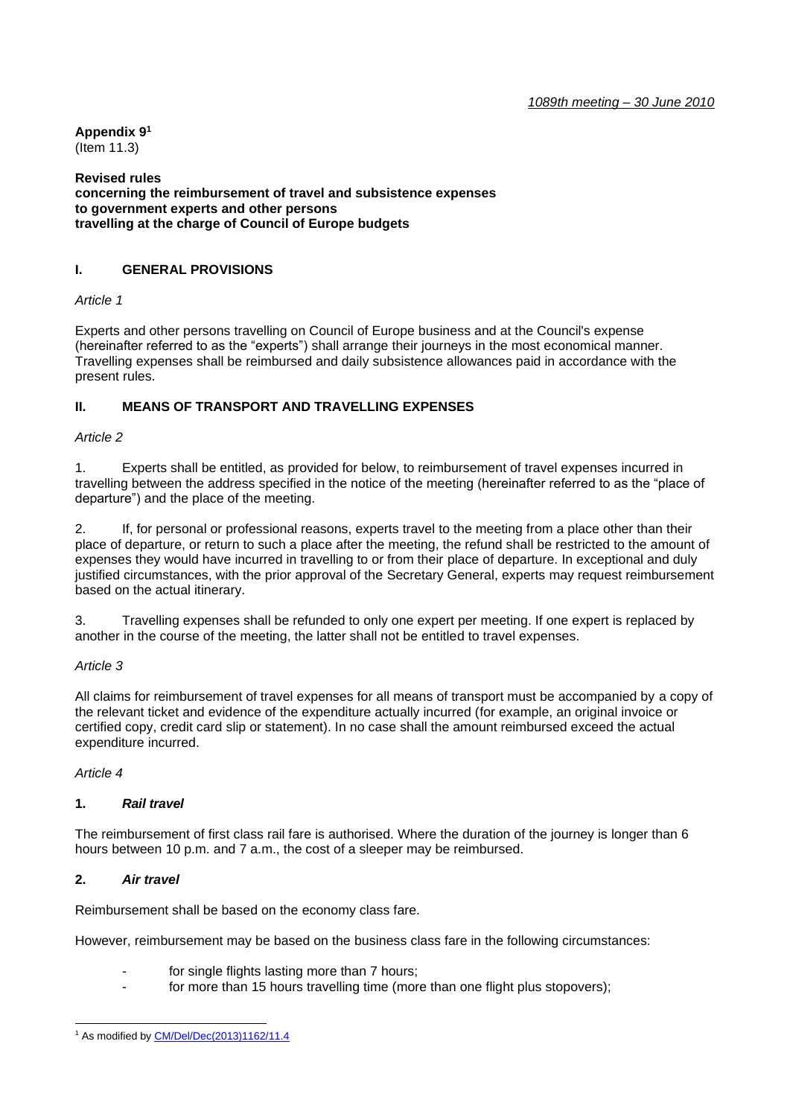**Appendix 9 1** (Item 11.3)

**Revised rules concerning the reimbursement of travel and subsistence expenses to government experts and other persons travelling at the charge of Council of Europe budgets**

## **I. GENERAL PROVISIONS**

*Article 1*

Experts and other persons travelling on Council of Europe business and at the Council's expense (hereinafter referred to as the "experts") shall arrange their journeys in the most economical manner. Travelling expenses shall be reimbursed and daily subsistence allowances paid in accordance with the present rules.

### **II. MEANS OF TRANSPORT AND TRAVELLING EXPENSES**

#### *Article 2*

1. Experts shall be entitled, as provided for below, to reimbursement of travel expenses incurred in travelling between the address specified in the notice of the meeting (hereinafter referred to as the "place of departure") and the place of the meeting.

2. If, for personal or professional reasons, experts travel to the meeting from a place other than their place of departure, or return to such a place after the meeting, the refund shall be restricted to the amount of expenses they would have incurred in travelling to or from their place of departure. In exceptional and duly justified circumstances, with the prior approval of the Secretary General, experts may request reimbursement based on the actual itinerary.

3. Travelling expenses shall be refunded to only one expert per meeting. If one expert is replaced by another in the course of the meeting, the latter shall not be entitled to travel expenses.

### *Article 3*

All claims for reimbursement of travel expenses for all means of transport must be accompanied by a copy of the relevant ticket and evidence of the expenditure actually incurred (for example, an original invoice or certified copy, credit card slip or statement). In no case shall the amount reimbursed exceed the actual expenditure incurred.

### *Article 4*

### **1.** *Rail travel*

The reimbursement of first class rail fare is authorised. Where the duration of the journey is longer than 6 hours between 10 p.m. and 7 a.m., the cost of a sleeper may be reimbursed.

### **2.** *Air travel*

Reimbursement shall be based on the economy class fare.

However, reimbursement may be based on the business class fare in the following circumstances:

- for single flights lasting more than 7 hours;
- for more than 15 hours travelling time (more than one flight plus stopovers);

<sup>&</sup>lt;sup>1</sup> As modified b[y CM/Del/Dec\(2013\)1162/11.4](https://search.coe.int/cm/Pages/result_details.aspx?Reference=CM/Del/Dec(2013)1162/11.4)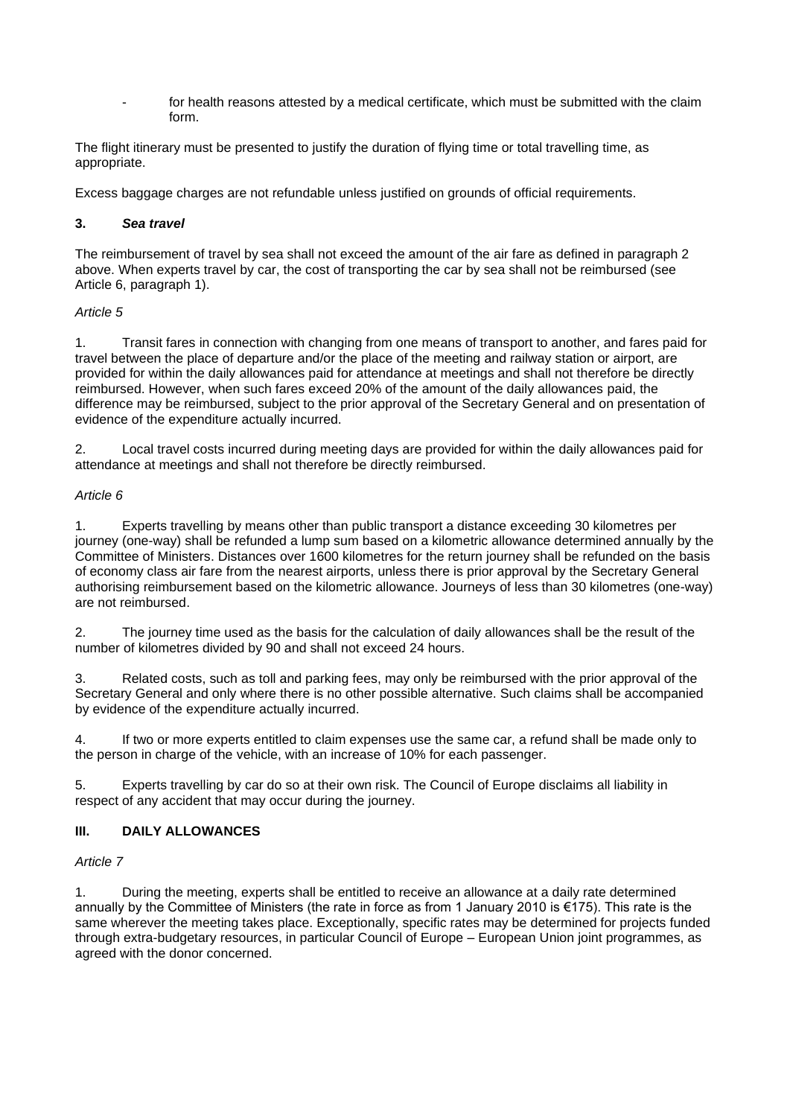for health reasons attested by a medical certificate, which must be submitted with the claim form.

The flight itinerary must be presented to justify the duration of flying time or total travelling time, as appropriate.

Excess baggage charges are not refundable unless justified on grounds of official requirements.

### **3.** *Sea travel*

The reimbursement of travel by sea shall not exceed the amount of the air fare as defined in paragraph 2 above. When experts travel by car, the cost of transporting the car by sea shall not be reimbursed (see Article 6, paragraph 1).

### *Article 5*

1. Transit fares in connection with changing from one means of transport to another, and fares paid for travel between the place of departure and/or the place of the meeting and railway station or airport, are provided for within the daily allowances paid for attendance at meetings and shall not therefore be directly reimbursed. However, when such fares exceed 20% of the amount of the daily allowances paid, the difference may be reimbursed, subject to the prior approval of the Secretary General and on presentation of evidence of the expenditure actually incurred.

2. Local travel costs incurred during meeting days are provided for within the daily allowances paid for attendance at meetings and shall not therefore be directly reimbursed.

### *Article 6*

1. Experts travelling by means other than public transport a distance exceeding 30 kilometres per journey (one-way) shall be refunded a lump sum based on a kilometric allowance determined annually by the Committee of Ministers. Distances over 1600 kilometres for the return journey shall be refunded on the basis of economy class air fare from the nearest airports, unless there is prior approval by the Secretary General authorising reimbursement based on the kilometric allowance. Journeys of less than 30 kilometres (one-way) are not reimbursed.

2. The journey time used as the basis for the calculation of daily allowances shall be the result of the number of kilometres divided by 90 and shall not exceed 24 hours.

3. Related costs, such as toll and parking fees, may only be reimbursed with the prior approval of the Secretary General and only where there is no other possible alternative. Such claims shall be accompanied by evidence of the expenditure actually incurred.

4. If two or more experts entitled to claim expenses use the same car, a refund shall be made only to the person in charge of the vehicle, with an increase of 10% for each passenger.

5. Experts travelling by car do so at their own risk. The Council of Europe disclaims all liability in respect of any accident that may occur during the journey.

# **III. DAILY ALLOWANCES**

# *Article 7*

1. During the meeting, experts shall be entitled to receive an allowance at a daily rate determined annually by the Committee of Ministers (the rate in force as from 1 January 2010 is €175). This rate is the same wherever the meeting takes place. Exceptionally, specific rates may be determined for projects funded through extra-budgetary resources, in particular Council of Europe – European Union joint programmes, as agreed with the donor concerned.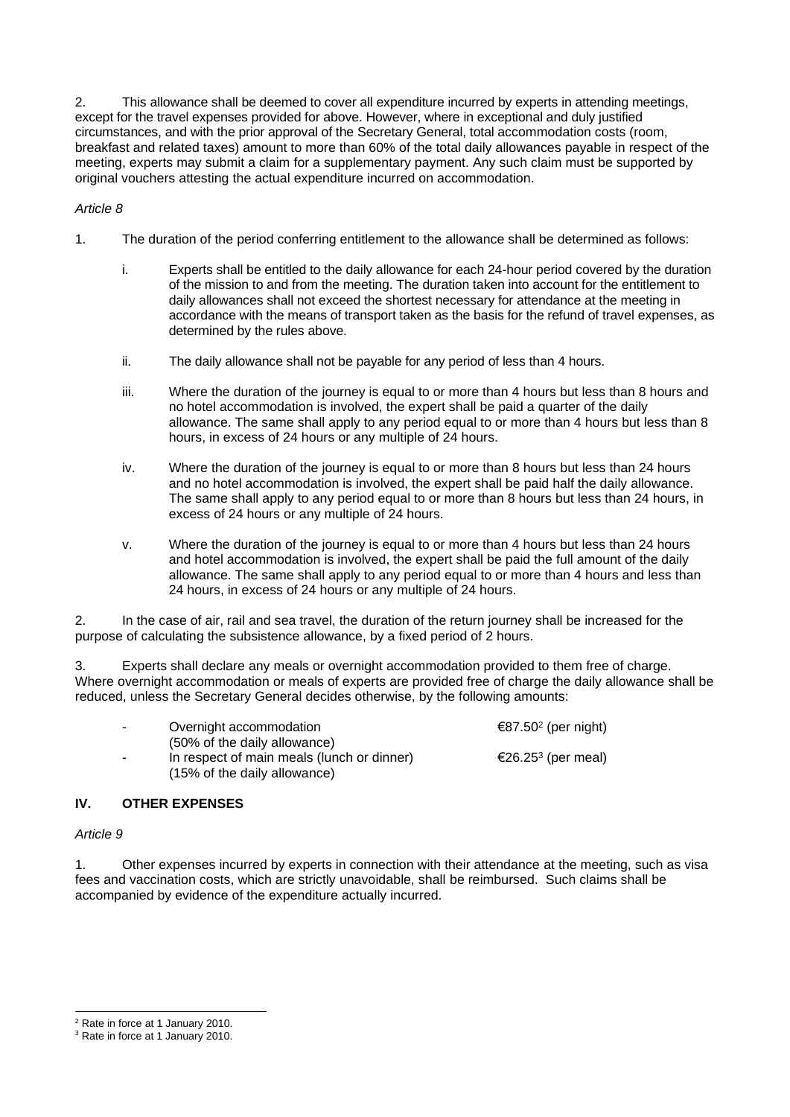2. This allowance shall be deemed to cover all expenditure incurred by experts in attending meetings, except for the travel expenses provided for above. However, where in exceptional and duly justified circumstances, and with the prior approval of the Secretary General, total accommodation costs (room, breakfast and related taxes) amount to more than 60% of the total daily allowances payable in respect of the meeting, experts may submit a claim for a supplementary payment. Any such claim must be supported by original vouchers attesting the actual expenditure incurred on accommodation.

### *Article 8*

- 1. The duration of the period conferring entitlement to the allowance shall be determined as follows:
	- i. Experts shall be entitled to the daily allowance for each 24-hour period covered by the duration of the mission to and from the meeting. The duration taken into account for the entitlement to daily allowances shall not exceed the shortest necessary for attendance at the meeting in accordance with the means of transport taken as the basis for the refund of travel expenses, as determined by the rules above.
	- ii. The daily allowance shall not be payable for any period of less than 4 hours.
	- iii. Where the duration of the journey is equal to or more than 4 hours but less than 8 hours and no hotel accommodation is involved, the expert shall be paid a quarter of the daily allowance. The same shall apply to any period equal to or more than 4 hours but less than 8 hours, in excess of 24 hours or any multiple of 24 hours.
	- iv. Where the duration of the journey is equal to or more than 8 hours but less than 24 hours and no hotel accommodation is involved, the expert shall be paid half the daily allowance. The same shall apply to any period equal to or more than 8 hours but less than 24 hours, in excess of 24 hours or any multiple of 24 hours.
	- v. Where the duration of the journey is equal to or more than 4 hours but less than 24 hours and hotel accommodation is involved, the expert shall be paid the full amount of the daily allowance. The same shall apply to any period equal to or more than 4 hours and less than 24 hours, in excess of 24 hours or any multiple of 24 hours.

2. In the case of air, rail and sea travel, the duration of the return journey shall be increased for the purpose of calculating the subsistence allowance, by a fixed period of 2 hours.

3. Experts shall declare any meals or overnight accommodation provided to them free of charge. Where overnight accommodation or meals of experts are provided free of charge the daily allowance shall be reduced, unless the Secretary General decides otherwise, by the following amounts:

| $\sim$                   | Overnight accommodation                                                                                    | €87.50 <sup>2</sup> (per night) |
|--------------------------|------------------------------------------------------------------------------------------------------------|---------------------------------|
| $\overline{\phantom{0}}$ | (50% of the daily allowance)<br>In respect of main meals (lunch or dinner)<br>(15% of the daily allowance) | €26.25 <sup>3</sup> (per meal)  |

### **IV. OTHER EXPENSES**

#### *Article 9*

1. Other expenses incurred by experts in connection with their attendance at the meeting, such as visa fees and vaccination costs, which are strictly unavoidable, shall be reimbursed. Such claims shall be accompanied by evidence of the expenditure actually incurred.

<sup>2</sup> Rate in force at 1 January 2010.

<sup>&</sup>lt;sup>3</sup> Rate in force at 1 January 2010.